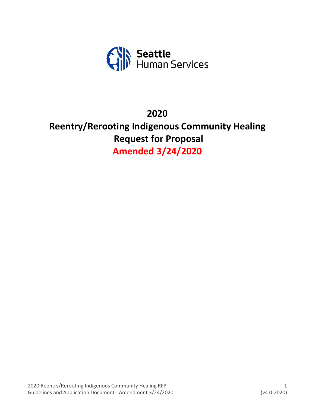

# **2020**

# **Reentry/Rerooting Indigenous Community Healing Request for Proposal Amended 3/24/2020**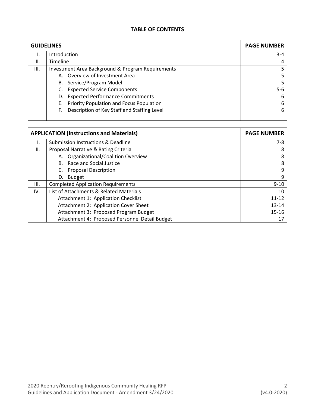#### **TABLE OF CONTENTS**

| <b>GUIDELINES</b> |                                                   | <b>PAGE NUMBER</b> |
|-------------------|---------------------------------------------------|--------------------|
|                   | Introduction                                      | $3 - 4$            |
| Ш.                | Timeline                                          |                    |
| III.              | Investment Area Background & Program Requirements |                    |
|                   | A. Overview of Investment Area                    |                    |
|                   | B. Service/Program Model                          |                    |
|                   | <b>Expected Service Components</b>                | 5-6                |
|                   | D. Expected Performance Commitments               | 6                  |
|                   | E. Priority Population and Focus Population       | 6                  |
|                   | Description of Key Staff and Staffing Level<br>F. | 6                  |
|                   |                                                   |                    |

| <b>APPLICATION (Instructions and Materials)</b> | <b>PAGE NUMBER</b>                             |           |
|-------------------------------------------------|------------------------------------------------|-----------|
|                                                 | Submission Instructions & Deadline             | $7-8$     |
| II.                                             | Proposal Narrative & Rating Criteria           | 8         |
|                                                 | A. Organizational/Coalition Overview           | 8         |
|                                                 | B. Race and Social Justice                     | 8         |
|                                                 | <b>Proposal Description</b>                    | 9         |
|                                                 | <b>Budget</b><br>D.                            | 9         |
| III.                                            | <b>Completed Application Requirements</b>      | $9 - 10$  |
| IV.                                             | List of Attachments & Related Materials        | 10        |
|                                                 | Attachment 1: Application Checklist            | $11 - 12$ |
|                                                 | Attachment 2: Application Cover Sheet          | $13 - 14$ |
|                                                 | Attachment 3: Proposed Program Budget          | $15 - 16$ |
|                                                 | Attachment 4: Proposed Personnel Detail Budget |           |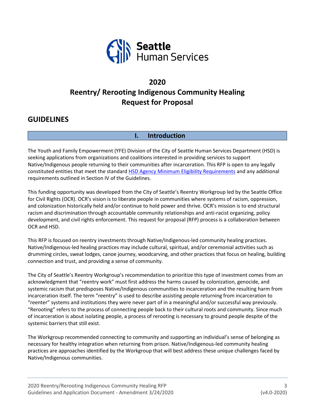

# **2020 Reentry/ Rerooting Indigenous Community Healing Request for Proposal**

# **GUIDELINES**

# **I. Introduction**

The Youth and Family Empowerment (YFE) Division of the City of Seattle Human Services Department (HSD) is seeking applications from organizations and coalitions interested in providing services to support Native/Indigenous people returning to their communities after incarceration. This RFP is open to any legally constituted entities that meet the standard [HSD Agency Minimum Eligibility Requirements](http://www.seattle.gov/humanservices/funding-and-reports/funding-opportunities) and any additional requirements outlined in Section IV of the Guidelines.

This funding opportunity was developed from the City of Seattle's Reentry Workgroup led by the Seattle Office for Civil Rights (OCR). OCR's vision is to liberate people in communities where systems of racism, oppression, and colonization historically held and/or continue to hold power and thrive. OCR's mission is to end structural racism and discrimination through accountable community relationships and anti-racist organizing, policy development, and civil rights enforcement. This request for proposal (RFP) process is a collaboration between OCR and HSD.

This RFP is focused on reentry investments through Native/Indigenous-led community healing practices. Native/Indigenous-led healing practices may include cultural, spiritual, and/or ceremonial activities such as drumming circles, sweat lodges, canoe journey, woodcarving, and other practices that focus on healing, building connection and trust, and providing a sense of community.

The City of Seattle's Reentry Workgroup's recommendation to prioritize this type of investment comes from an acknowledgment that "reentry work" must first address the harms caused by colonization, genocide, and systemic racism that predisposes Native/Indigenous communities to incarceration and the resulting harm from incarceration itself. The term "reentry" is used to describe assisting people returning from incarceration to "reenter" systems and institutions they were never part of in a meaningful and/or successful way previously. "Rerooting" refers to the process of connecting people back to their cultural roots and community. Since much of incarceration is about isolating people, a process of rerooting is necessary to ground people despite of the systemic barriers that still exist.

The Workgroup recommended connecting to community and supporting an individual's sense of belonging as necessary for healthy integration when returning from prison. Native/Indigenous-led community healing practices are approaches identified by the Workgroup that will best address these unique challenges faced by Native/Indigenous communities.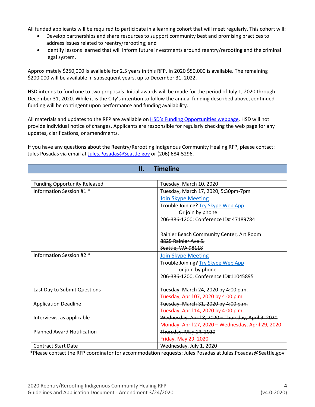All funded applicants will be required to participate in a learning cohort that will meet regularly. This cohort will:

- Develop partnerships and share resources to support community best and promising practices to address issues related to reentry/rerooting; and
- Identify lessons learned that will inform future investments around reentry/rerooting and the criminal legal system.

Approximately \$250,000 is available for 2.5 years in this RFP. In 2020 \$50,000 is available. The remaining \$200,000 will be available in subsequent years, up to December 31, 2022.

HSD intends to fund one to two proposals. Initial awards will be made for the period of July 1, 2020 through December 31, 2020. While it is the City's intention to follow the annual funding described above, continued funding will be contingent upon performance and funding availability.

All materials and updates to the RFP are available on HSD's [Funding Opportunities webpage.](http://www.seattle.gov/humanservices/funding-and-reports/funding-opportunities) HSD will not provide individual notice of changes. Applicants are responsible for regularly checking the web page for any updates, clarifications, or amendments.

If you have any questions about the Reentry/Rerooting Indigenous Community Healing RFP, please contact: Jules Posadas via email a[t Jules.Posadas@Seattle.gov](mailto:Jules.Posadas@Seattle.gov) or (206) 684-5296.

**II. Timeline**

| н.<br>mmenne                        |                                                    |  |  |  |
|-------------------------------------|----------------------------------------------------|--|--|--|
|                                     |                                                    |  |  |  |
| <b>Funding Opportunity Released</b> | Tuesday, March 10, 2020                            |  |  |  |
| Information Session #1 *            | Tuesday, March 17, 2020, 5:30pm-7pm                |  |  |  |
|                                     | <b>Join Skype Meeting</b>                          |  |  |  |
|                                     | Trouble Joining? Try Skype Web App                 |  |  |  |
|                                     | Or join by phone                                   |  |  |  |
|                                     | 206-386-1200; Conference ID# 47189784              |  |  |  |
|                                     |                                                    |  |  |  |
|                                     | Rainier Beach Community Center, Art Room           |  |  |  |
|                                     | 8825 Rainier Ave S.                                |  |  |  |
|                                     | Seattle, WA 98118                                  |  |  |  |
| Information Session #2 *            | <b>Join Skype Meeting</b>                          |  |  |  |
|                                     | Trouble Joining? Try Skype Web App                 |  |  |  |
|                                     | or join by phone                                   |  |  |  |
|                                     | 206-386-1200, Conference ID#11045895               |  |  |  |
|                                     |                                                    |  |  |  |
| Last Day to Submit Questions        | Tuesday, March 24, 2020 by 4:00 p.m.               |  |  |  |
|                                     | Tuesday, April 07, 2020 by 4:00 p.m.               |  |  |  |
| <b>Application Deadline</b>         | Tuesday, March 31, 2020 by 4:00 p.m.               |  |  |  |
|                                     | Tuesday, April 14, 2020 by 4:00 p.m.               |  |  |  |
| Interviews, as applicable           | Wednesday, April 8, 2020 - Thursday, April 9, 2020 |  |  |  |
|                                     | Monday, April 27, 2020 - Wednesday, April 29, 2020 |  |  |  |
| <b>Planned Award Notification</b>   | Thursday, May 14, 2020                             |  |  |  |
|                                     | Friday, May 29, 2020                               |  |  |  |
| <b>Contract Start Date</b>          | Wednesday, July 1, 2020                            |  |  |  |

\*Please contact the RFP coordinator for accommodation requests: Jules Posadas at Jules.Posadas@Seattle.gov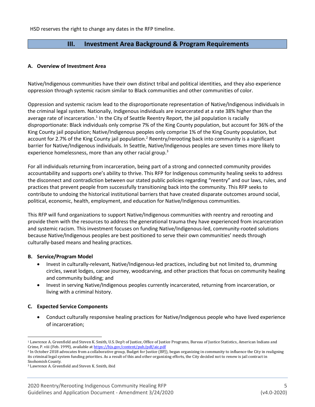HSD reserves the right to change any dates in the RFP timeline.

# **III. Investment Area Background & Program Requirements**

#### **A. Overview of Investment Area**

Native/Indigenous communities have their own distinct tribal and political identities, and they also experience oppression through systemic racism similar to Black communities and other communities of color.

Oppression and systemic racism lead to the disproportionate representation of Native/Indigenous individuals in the criminal legal system. Nationally, Indigenous individuals are incarcerated at a rate 38% higher than the average rate of incarceration.<sup>1</sup> In the City of Seattle Reentry Report, the jail population is racially disproportionate: Black individuals only comprise 7% of the King County population, but account for 36% of the King County jail population; Native/Indigenous peoples only comprise 1% of the King County population, but account for 2.7% of the King County jail population.<sup>2</sup> Reentry/rerooting back into community is a significant barrier for Native/Indigenous individuals. In Seattle, Native/Indigenous peoples are seven times more likely to experience homelessness, more than any other racial group.<sup>3</sup>

For all individuals returning from incarceration, being part of a strong and connected community provides accountability and supports one's ability to thrive. This RFP for Indigenous community healing seeks to address the disconnect and contradiction between our stated public policies regarding "reentry" and our laws, rules, and practices that prevent people from successfully transitioning back into the community. This RFP seeks to contribute to undoing the historical institutional barriers that have created disparate outcomes around social, political, economic, health, employment, and education for Native/Indigenous communities.

This RFP will fund organizations to support Native/Indigenous communities with reentry and rerooting and provide them with the resources to address the generational trauma they have experienced from incarceration and systemic racism. This investment focuses on funding Native/Indigenous-led, community-rooted solutions because Native/Indigenous peoples are best positioned to serve their own communities' needs through culturally-based means and healing practices.

#### **B. Service/Program Model**

- Invest in culturally-relevant, Native/Indigenous-led practices, including but not limited to, drumming circles, sweat lodges, canoe journey, woodcarving, and other practices that focus on community healing and community building; and
- Invest in serving Native/Indigenous peoples currently incarcerated, returning from incarceration, or living with a criminal history.

#### **C. Expected Service Components**

• Conduct culturally responsive healing practices for Native/Indigenous people who have lived experience of incarceration;

<sup>1</sup> Lawrence A. Greenfield and Steven K. Smith, U.S. Dep't of Justice, Office of Justice Programs, Bureau of Justice Statistics, American Indians and Crime, P. viii (Feb. 1999), available a[t https://bjs.gov/content/pub/pdf/aic.pdf](https://bjs.gov/content/pub/pdf/aic.pdf)

<sup>&</sup>lt;sup>2</sup> In October 2018 advocates from a collaborative group, Budget for Justice (BFJ), began organizing in community to influence the City in realigning its criminal legal system funding priorities. As a result of this and other organizing efforts, the City decided not to renew is jail contract in Snohomish County.

<sup>3</sup> Lawrence A. Greenfield and Steven K. Smith, ibid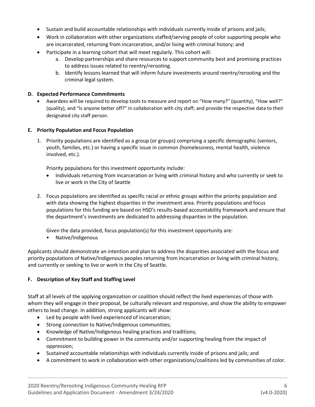- Sustain and build accountable relationships with individuals currently inside of prisons and jails;
- Work in collaboration with other organizations staffed/serving people of color supporting people who are incarcerated, returning from incarceration, and/or living with criminal history; and
- Participate in a learning cohort that will meet regularly. This cohort will:
	- a. Develop partnerships and share resources to support community best and promising practices to address issues related to reentry/rerooting.
	- b. Identify lessons learned that will inform future investments around reentry/rerooting and the criminal legal system.

#### **D. Expected Performance Commitments**

• Awardees will be required to develop tools to measure and report on "How many?" (quantity), "How well?" (quality), and "Is anyone better off?" in collaboration with city staff; and provide the respective data to their designated city staff person.

#### **E. Priority Population and Focus Population**

1. Priority populations are identified as a group (or groups) comprising a specific demographic (seniors, youth, families, etc.) or having a specific issue in common (homelessness, mental health, violence involved, etc.).

Priority populations for this investment opportunity include:

- Individuals returning from incarceration or living with criminal history and who currently or seek to live or work in the City of Seattle
- 2. Focus populations are identified as specific racial or ethnic groups within the priority population and with data showing the highest disparities in the investment area. Priority populations and focus populations for this funding are based on HSD's results-based accountability framework and ensure that the department's investments are dedicated to addressing disparities in the population.

Given the data provided, focus population(s) for this investment opportunity are:

• Native/Indigenous

Applicants should demonstrate an intention and plan to address the disparities associated with the focus and priority populations of Native/Indigenous peoples returning from incarceration or living with criminal history, and currently or seeking to live or work in the City of Seattle.

#### **F. Description of Key Staff and Staffing Level**

Staff at all levels of the applying organization or coalition should reflect the lived experiences of those with whom they will engage in their proposal, be culturally relevant and responsive, and show the ability to empower others to lead change. In addition, strong applicants will show:

- Led by people with lived experienced of incarceration;
- Strong connection to Native/Indigenous communities;
- Knowledge of Native/Indigenous healing practices and traditions;
- Commitment to building power in the community and/or supporting healing from the impact of oppression;
- Sustained accountable relationships with individuals currently inside of prisons and jails; and
- A commitment to work in collaboration with other organizations/coalitions led by communities of color.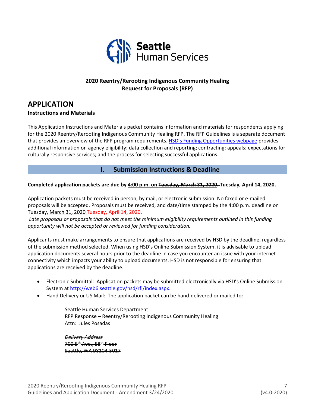

# **2020 Reentry/Rerooting Indigenous Community Healing Request for Proposals (RFP)**

# **APPLICATION Instructions and Materials**

This Application Instructions and Materials packet contains information and materials for respondents applying for the 2020 Reentry/Rerooting Indigenous Community Healing RFP. The RFP Guidelines is a separate document that provides an overview of the RFP program requirements. [HSD's Funding Opportunities webpage](http://www.seattle.gov/humanservices/funding-and-reports/funding-opportunities) provides additional information on agency eligibility; data collection and reporting; contracting; appeals; expectations for culturally responsive services; and the process for selecting successful applications.

**I. Submission Instructions & Deadline**

#### **Completed application packets are due by 4:00 p.m. on Tuesday, March 31, 2020. Tuesday, April 14, 2020.**

Application packets must be received in person, by mail, or electronic submission. No faxed or e-mailed proposals will be accepted. Proposals must be received, and date/time stamped by the 4:00 p.m. deadline on Tuesday, March 31, 2020 Tuesday, April 14, 2020.

*Late proposals or proposals that do not meet the minimum eligibility requirements outlined in this funding opportunity will not be accepted or reviewed for funding consideration.*

Applicants must make arrangements to ensure that applications are received by HSD by the deadline, regardless of the submission method selected. When using HSD's Online Submission System, it is advisable to upload application documents several hours prior to the deadline in case you encounter an issue with your internet connectivity which impacts your ability to upload documents. HSD is not responsible for ensuring that applications are received by the deadline.

- Electronic Submittal: Application packets may be submitted electronically via HSD's Online Submission System at [http://web6.seattle.gov/hsd/rfi/index.aspx.](http://web6.seattle.gov/hsd/rfi/index.aspx)
- Hand Delivery or US Mail: The application packet can be hand-delivered or mailed to:

Seattle Human Services Department RFP Response – Reentry/Rerooting Indigenous Community Healing Attn: Jules Posadas

*Delivery Address* 700 5<sup>th</sup> Ave., 58<sup>th</sup> Floor Seattle, WA 98104-5017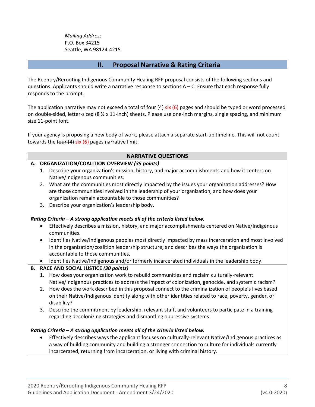*Mailing Address* P.O. Box 34215 Seattle, WA 98124-4215

# **II. Proposal Narrative & Rating Criteria**

The Reentry/Rerooting Indigenous Community Healing RFP proposal consists of the following sections and questions. Applicants should write a narrative response to sections  $A - C$ . Ensure that each response fully responds to the prompt.

The application narrative may not exceed a total of four  $(4)$  six  $(6)$  pages and should be typed or word processed on double-sided, letter-sized (8 ½ x 11-inch) sheets. Please use one-inch margins, single spacing, and minimum size 11-point font.

If your agency is proposing a new body of work, please attach a separate start-up timeline. This will not count towards the four (4) six (6) pages narrative limit.

#### **NARRATIVE QUESTIONS**

#### **A. ORGANIZATION/COALITION OVERVIEW** *(35 points)*

- 1. Describe your organization's mission, history, and major accomplishments and how it centers on Native/Indigenous communities.
- 2. What are the communities most directly impacted by the issues your organization addresses? How are those communities involved in the leadership of your organization, and how does your organization remain accountable to those communities?
- 3. Describe your organization's leadership body.

#### *Rating Criteria – A strong application meets all of the criteria listed below.*

- Effectively describes a mission, history, and major accomplishments centered on Native/Indigenous communities.
- Identifies Native/Indigenous peoples most directly impacted by mass incarceration and most involved in the organization/coalition leadership structure; and describes the ways the organization is accountable to those communities.
- Identifies Native/Indigenous and/or formerly incarcerated individuals in the leadership body.

#### **B. RACE AND SOCIAL JUSTICE** *(30 points)*

- 1. How does your organization work to rebuild communities and reclaim culturally-relevant Native/Indigenous practices to address the impact of colonization, genocide, and systemic racism?
- 2. How does the work described in this proposal connect to the criminalization of people's lives based on their Native/Indigenous identity along with other identities related to race, poverty, gender, or disability?
- 3. Describe the commitment by leadership, relevant staff, and volunteers to participate in a training regarding decolonizing strategies and dismantling oppressive systems.

#### *Rating Criteria – A strong application meets all of the criteria listed below.*

• Effectively describes ways the applicant focuses on culturally-relevant Native/Indigenous practices as a way of building community and building a stronger connection to culture for individuals currently incarcerated, returning from incarceration, or living with criminal history.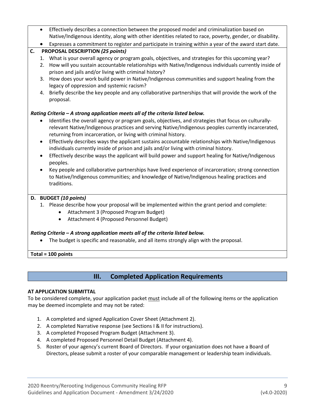|    | $\bullet$ | Effectively describes a connection between the proposed model and criminalization based on<br>Native/Indigenous identity, along with other identities related to race, poverty, gender, or disability. |
|----|-----------|--------------------------------------------------------------------------------------------------------------------------------------------------------------------------------------------------------|
|    |           | Expresses a commitment to register and participate in training within a year of the award start date.                                                                                                  |
|    | $\bullet$ |                                                                                                                                                                                                        |
| C. |           | <b>PROPOSAL DESCRIPTION (25 points)</b>                                                                                                                                                                |
|    | 1.        | What is your overall agency or program goals, objectives, and strategies for this upcoming year?                                                                                                       |
|    | 2.        | How will you sustain accountable relationships with Native/Indigenous individuals currently inside of<br>prison and jails and/or living with criminal history?                                         |
|    | 3.        | How does your work build power in Native/Indigenous communities and support healing from the                                                                                                           |
|    |           | legacy of oppression and systemic racism?                                                                                                                                                              |
|    | 4.        | Briefly describe the key people and any collaborative partnerships that will provide the work of the                                                                                                   |
|    |           | proposal.                                                                                                                                                                                              |
|    |           |                                                                                                                                                                                                        |
|    |           | Rating Criteria - A strong application meets all of the criteria listed below.                                                                                                                         |
|    | $\bullet$ | Identifies the overall agency or program goals, objectives, and strategies that focus on culturally-                                                                                                   |
|    |           | relevant Native/Indigenous practices and serving Native/Indigenous peoples currently incarcerated,                                                                                                     |
|    |           | returning from incarceration, or living with criminal history.                                                                                                                                         |
|    | $\bullet$ | Effectively describes ways the applicant sustains accountable relationships with Native/Indigenous                                                                                                     |
|    |           | individuals currently inside of prison and jails and/or living with criminal history.                                                                                                                  |
|    | $\bullet$ | Effectively describe ways the applicant will build power and support healing for Native/Indigenous                                                                                                     |
|    |           | peoples.                                                                                                                                                                                               |
|    | $\bullet$ | Key people and collaborative partnerships have lived experience of incarceration; strong connection                                                                                                    |
|    |           | to Native/Indigenous communities; and knowledge of Native/Indigenous healing practices and                                                                                                             |
|    |           | traditions.                                                                                                                                                                                            |
|    |           |                                                                                                                                                                                                        |
|    |           | D. BUDGET (10 points)                                                                                                                                                                                  |
|    |           | 1. Please describe how your proposal will be implemented within the grant period and complete:                                                                                                         |
|    |           | Attachment 3 (Proposed Program Budget)<br>$\bullet$                                                                                                                                                    |
|    |           | Attachment 4 (Proposed Personnel Budget)<br>$\bullet$                                                                                                                                                  |
|    |           |                                                                                                                                                                                                        |
|    |           | Rating Criteria - A strong application meets all of the criteria listed below.                                                                                                                         |
|    |           | The budget is specific and reasonable, and all items strongly align with the proposal.                                                                                                                 |
|    |           |                                                                                                                                                                                                        |

**Total = 100 points**

# **III. Completed Application Requirements**

#### **AT APPLICATION SUBMITTAL**

To be considered complete, your application packet must include all of the following items or the application may be deemed incomplete and may not be rated:

- 1. A completed and signed Application Cover Sheet (Attachment 2).
- 2. A completed Narrative response (see Sections I & II for instructions).
- 3. A completed Proposed Program Budget (Attachment 3).
- 4. A completed Proposed Personnel Detail Budget (Attachment 4).
- 5. Roster of your agency's current Board of Directors. If your organization does not have a Board of Directors, please submit a roster of your comparable management or leadership team individuals.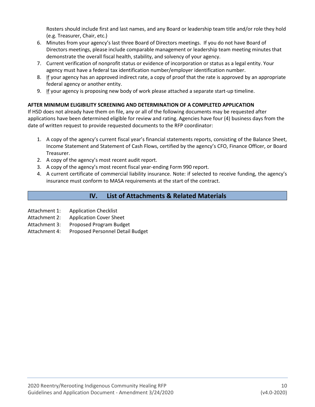Rosters should include first and last names, and any Board or leadership team title and/or role they hold (e.g. Treasurer, Chair, etc.)

- 6. Minutes from your agency's last three Board of Directors meetings. If you do not have Board of Directors meetings, please include comparable management or leadership team meeting minutes that demonstrate the overall fiscal health, stability, and solvency of your agency.
- 7. Current verification of nonprofit status or evidence of incorporation or status as a legal entity. Your agency must have a federal tax identification number/employer identification number.
- 8. If your agency has an approved indirect rate, a copy of proof that the rate is approved by an appropriate federal agency or another entity.
- 9. If your agency is proposing new body of work please attached a separate start-up timeline.

# **AFTER MINIMUM ELIGIBILITY SCREENING AND DETERMINATION OF A COMPLETED APPLICATION**

If HSD does not already have them on file, any or all of the following documents may be requested after applications have been determined eligible for review and rating. Agencies have four (4) business days from the date of written request to provide requested documents to the RFP coordinator:

- 1. A copy of the agency's current fiscal year's financial statements reports, consisting of the Balance Sheet, Income Statement and Statement of Cash Flows, certified by the agency's CFO, Finance Officer, or Board Treasurer.
- 2. A copy of the agency's most recent audit report.
- 3. A copy of the agency's most recent fiscal year-ending Form 990 report.
- 4. A current certificate of commercial liability insurance. Note: if selected to receive funding, the agency's insurance must conform to MASA requirements at the start of the contract.

# **IV. List of Attachments & Related Materials**

- Attachment 1: Application Checklist
- Attachment 2: Application Cover Sheet
- Attachment 3: Proposed Program Budget
- Attachment 4: Proposed Personnel Detail Budget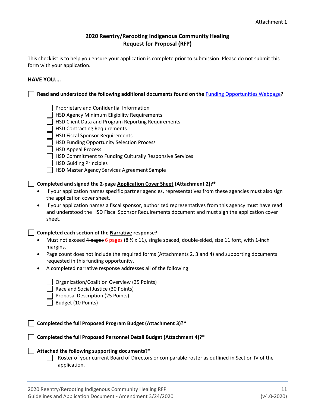### **2020 Reentry/Rerooting Indigenous Community Healing Request for Proposal (RFP)**

This checklist is to help you ensure your application is complete prior to submission. Please do not submit this form with your application.

#### **HAVE YOU….**

**Read and understood the following additional documents found on the** [Funding Opportunities Webpage](http://www.seattle.gov/humanservices/funding-and-reports/funding-opportunities)**?** Proprietary and Confidential Information HSD Agency Minimum Eligibility Requirements HSD Client Data and Program Reporting Requirements | HSD Contracting Requirements HSD Fiscal Sponsor Requirements HSD Funding Opportunity Selection Process HSD Appeal Process HSD Commitment to Funding Culturally Responsive Services HSD Guiding Principles HSD Master Agency Services Agreement Sample **Completed and signed the 2-page Application Cover Sheet (Attachment 2)?\*** • If your application names specific partner agencies, representatives from these agencies must also sign the application cover sheet. • If your application names a fiscal sponsor, authorized representatives from this agency must have read and understood the HSD Fiscal Sponsor Requirements document and must sign the application cover sheet. **Completed each section of the Narrative response?** • Must not exceed 4 pages 6 pages (8  $\frac{1}{2}$  x 11), single spaced, double-sided, size 11 font, with 1-inch margins. • Page count does not include the required forms (Attachments 2, 3 and 4) and supporting documents requested in this funding opportunity. • A completed narrative response addresses all of the following: Organization/Coalition Overview (35 Points) Race and Social Justice (30 Points) Proposal Description (25 Points) Budget (10 Points) **Completed the full Proposed Program Budget (Attachment 3)?\* Completed the full Proposed Personnel Detail Budget (Attachment 4)?\* Attached the following supporting documents?\*** Roster of your current Board of Directors or comparable roster as outlined in Section IV of the application.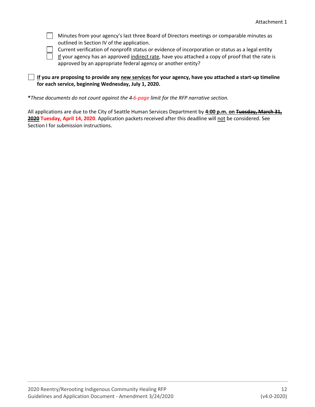Minutes from your agency's last three Board of Directors meetings or comparable minutes as outlined in Section IV of the application.

Current verification of nonprofit status or evidence of incorporation or status as a legal entity

If your agency has an approved indirect rate, have you attached a copy of proof that the rate is approved by an appropriate federal agency or another entity?

#### **If you are proposing to provide any new services for your agency, have you attached a start-up timeline for each service, beginning Wednesday, July 1, 2020.**

**\****These documents do not count against the 4 6-page limit for the RFP narrative section.*

All applications are due to the City of Seattle Human Services Department by **4:00 p.m. on Tuesday, March 31, 2020 Tuesday, April 14, 2020**. Application packets received after this deadline will not be considered. See Section I for submission instructions.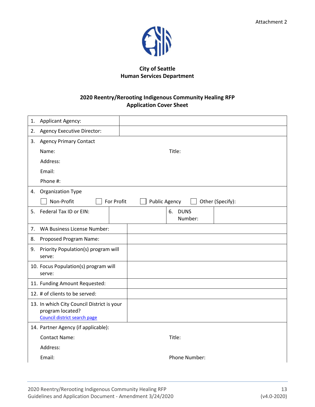

# **City of Seattle Human Services Department**

# **2020 Reentry/Rerooting Indigenous Community Healing RFP Application Cover Sheet**

| 1. | <b>Applicant Agency:</b>                                                                       |                                          |
|----|------------------------------------------------------------------------------------------------|------------------------------------------|
| 2. | <b>Agency Executive Director:</b>                                                              |                                          |
|    | 3. Agency Primary Contact                                                                      |                                          |
|    | Name:                                                                                          | Title:                                   |
|    | Address:                                                                                       |                                          |
|    | Email:                                                                                         |                                          |
|    | Phone #:                                                                                       |                                          |
|    | 4. Organization Type                                                                           |                                          |
|    | Non-Profit<br>For Profit                                                                       | <b>Public Agency</b><br>Other (Specify): |
| 5. | Federal Tax ID or EIN:                                                                         | <b>DUNS</b><br>6.<br>Number:             |
| 7. | WA Business License Number:                                                                    |                                          |
| 8. | Proposed Program Name:                                                                         |                                          |
| 9. | Priority Population(s) program will<br>serve:                                                  |                                          |
|    | 10. Focus Population(s) program will<br>serve:                                                 |                                          |
|    | 11. Funding Amount Requested:                                                                  |                                          |
|    | 12. # of clients to be served:                                                                 |                                          |
|    | 13. In which City Council District is your<br>program located?<br>Council district search page |                                          |
|    | 14. Partner Agency (if applicable):                                                            |                                          |
|    | <b>Contact Name:</b>                                                                           | Title:                                   |
|    | Address:                                                                                       |                                          |
|    | Email:                                                                                         | <b>Phone Number:</b>                     |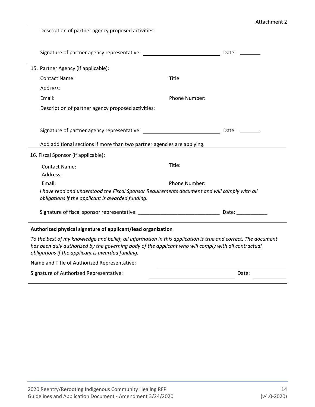# Attachment 2

|                                     | Description of partner agency proposed activities:                                                                                                                                                                                                                        |               |                                                                                                                |
|-------------------------------------|---------------------------------------------------------------------------------------------------------------------------------------------------------------------------------------------------------------------------------------------------------------------------|---------------|----------------------------------------------------------------------------------------------------------------|
|                                     | Signature of partner agency representative:<br><u>Canadian Communications</u>                                                                                                                                                                                             |               | Date: ________                                                                                                 |
|                                     | 15. Partner Agency (if applicable):                                                                                                                                                                                                                                       |               |                                                                                                                |
| <b>Contact Name:</b>                |                                                                                                                                                                                                                                                                           | Title:        |                                                                                                                |
| Address:                            |                                                                                                                                                                                                                                                                           |               |                                                                                                                |
| Email:                              |                                                                                                                                                                                                                                                                           | Phone Number: |                                                                                                                |
|                                     | Description of partner agency proposed activities:                                                                                                                                                                                                                        |               |                                                                                                                |
|                                     |                                                                                                                                                                                                                                                                           |               |                                                                                                                |
|                                     |                                                                                                                                                                                                                                                                           |               |                                                                                                                |
|                                     | Add additional sections if more than two partner agencies are applying.                                                                                                                                                                                                   |               |                                                                                                                |
| 16. Fiscal Sponsor (if applicable): |                                                                                                                                                                                                                                                                           |               |                                                                                                                |
| <b>Contact Name:</b>                |                                                                                                                                                                                                                                                                           | Title:        |                                                                                                                |
| Address:                            |                                                                                                                                                                                                                                                                           |               |                                                                                                                |
| Email:                              |                                                                                                                                                                                                                                                                           | Phone Number: |                                                                                                                |
|                                     | I have read and understood the Fiscal Sponsor Requirements document and will comply with all<br>obligations if the applicant is awarded funding.                                                                                                                          |               |                                                                                                                |
|                                     |                                                                                                                                                                                                                                                                           |               | Date: and the state of the state of the state of the state of the state of the state of the state of the state |
|                                     | Authorized physical signature of applicant/lead organization                                                                                                                                                                                                              |               |                                                                                                                |
|                                     | To the best of my knowledge and belief, all information in this application is true and correct. The document<br>has been duly authorized by the governing body of the applicant who will comply with all contractual<br>obligations if the applicant is awarded funding. |               |                                                                                                                |
|                                     | Name and Title of Authorized Representative:                                                                                                                                                                                                                              |               |                                                                                                                |
|                                     | Signature of Authorized Representative:                                                                                                                                                                                                                                   |               | Date:                                                                                                          |
|                                     |                                                                                                                                                                                                                                                                           |               |                                                                                                                |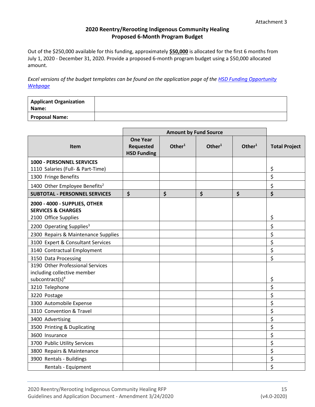#### **2020 Reentry/Rerooting Indigenous Community Healing Proposed 6-Month Program Budget**

Out of the \$250,000 available for this funding, approximately **\$50,000** is allocated for the first 6 months from July 1, 2020 - December 31, 2020. Provide a proposed 6-month program budget using a \$50,000 allocated amount.

*Excel versions of the budget templates can be found on the application page of the [HSD Funding Opportunity](http://www.seattle.gov/humanservices/funding-and-reports/funding-opportunities)  [Webpage](http://www.seattle.gov/humanservices/funding-and-reports/funding-opportunities)*

| <b>Applicant Organization</b><br>Name: |  |
|----------------------------------------|--|
| <b>Proposal Name:</b>                  |  |

|                                                                                                | <b>Amount by Fund Source</b>                              |                    |                    |                    |                      |
|------------------------------------------------------------------------------------------------|-----------------------------------------------------------|--------------------|--------------------|--------------------|----------------------|
| Item                                                                                           | <b>One Year</b><br><b>Requested</b><br><b>HSD Funding</b> | Other <sup>1</sup> | Other <sup>1</sup> | Other <sup>1</sup> | <b>Total Project</b> |
| 1000 - PERSONNEL SERVICES                                                                      |                                                           |                    |                    |                    |                      |
| 1110 Salaries (Full- & Part-Time)                                                              |                                                           |                    |                    |                    | \$                   |
| 1300 Fringe Benefits                                                                           |                                                           |                    |                    |                    | \$                   |
| 1400 Other Employee Benefits <sup>2</sup>                                                      |                                                           |                    |                    |                    | \$                   |
| <b>SUBTOTAL - PERSONNEL SERVICES</b>                                                           | \$                                                        | \$                 | \$                 | \$                 | \$                   |
| 2000 - 4000 - SUPPLIES, OTHER<br><b>SERVICES &amp; CHARGES</b><br>2100 Office Supplies         |                                                           |                    |                    |                    | \$                   |
| 2200 Operating Supplies <sup>3</sup>                                                           |                                                           |                    |                    |                    | \$                   |
| 2300 Repairs & Maintenance Supplies                                                            |                                                           |                    |                    |                    | \$                   |
| 3100 Expert & Consultant Services                                                              |                                                           |                    |                    |                    | \$                   |
| 3140 Contractual Employment                                                                    |                                                           |                    |                    |                    | \$                   |
| 3150 Data Processing                                                                           |                                                           |                    |                    |                    | \$                   |
| 3190 Other Professional Services<br>including collective member<br>subcontract(s) <sup>4</sup> |                                                           |                    |                    |                    | \$                   |
| 3210 Telephone                                                                                 |                                                           |                    |                    |                    | \$                   |
| 3220 Postage                                                                                   |                                                           |                    |                    |                    | \$                   |
| 3300 Automobile Expense                                                                        |                                                           |                    |                    |                    | \$                   |
| 3310 Convention & Travel                                                                       |                                                           |                    |                    |                    | \$                   |
| 3400 Advertising                                                                               |                                                           |                    |                    |                    | \$                   |
| 3500 Printing & Duplicating                                                                    |                                                           |                    |                    |                    | \$                   |
| 3600 Insurance                                                                                 |                                                           |                    |                    |                    | \$                   |
| 3700 Public Utility Services                                                                   |                                                           |                    |                    |                    | \$                   |
| 3800 Repairs & Maintenance                                                                     |                                                           |                    |                    |                    | \$                   |
| 3900 Rentals - Buildings                                                                       |                                                           |                    |                    |                    | \$                   |
| Rentals - Equipment                                                                            |                                                           |                    |                    |                    | \$                   |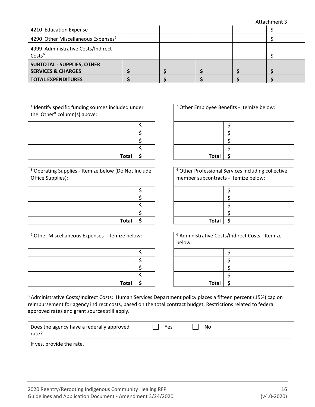|                                                                    |  |  | Attachment 3 |
|--------------------------------------------------------------------|--|--|--------------|
| 4210 Education Expense                                             |  |  |              |
| 4290 Other Miscellaneous Expenses <sup>5</sup>                     |  |  |              |
| 4999 Administrative Costs/Indirect<br>Costs <sup>6</sup>           |  |  |              |
| <b>SUBTOTAL - SUPPLIES, OTHER</b><br><b>SERVICES &amp; CHARGES</b> |  |  |              |
| <b>TOTAL EXPENDITURES</b>                                          |  |  |              |

| <sup>1</sup> Identify specific funding sources included under<br>the"Other" column(s) above: |  |
|----------------------------------------------------------------------------------------------|--|
|                                                                                              |  |
|                                                                                              |  |
|                                                                                              |  |
|                                                                                              |  |
| Total                                                                                        |  |

<sup>3</sup> Operating Supplies - Itemize below (Do Not Include Office Supplies):

| Total | - S |
|-------|-----|

| <sup>5</sup> Other Miscellaneous Expenses - Itemize below: |  | below: | <sup>6</sup> Administrative Costs/Indirect Costs - Itemize |
|------------------------------------------------------------|--|--------|------------------------------------------------------------|
|                                                            |  |        |                                                            |
|                                                            |  |        |                                                            |
|                                                            |  |        |                                                            |
|                                                            |  |        |                                                            |
| Total                                                      |  | Tota   |                                                            |

| ded under |  | <sup>2</sup> Other Employee Benefits - Itemize below: |  |  |  |  |
|-----------|--|-------------------------------------------------------|--|--|--|--|
|           |  |                                                       |  |  |  |  |
|           |  |                                                       |  |  |  |  |
|           |  |                                                       |  |  |  |  |
|           |  |                                                       |  |  |  |  |
| Total     |  | <b>Total</b>                                          |  |  |  |  |

| o Not Include |  | <sup>4</sup> Other Professional Services including collective<br>member subcontracts - Itemize below: |
|---------------|--|-------------------------------------------------------------------------------------------------------|
|               |  |                                                                                                       |
|               |  |                                                                                                       |
|               |  |                                                                                                       |
|               |  |                                                                                                       |
|               |  | Tota                                                                                                  |

| ze below: |  | <sup>6</sup> Administrative Costs/Indirect Costs - Itemize<br>below: |  |  |  |  |
|-----------|--|----------------------------------------------------------------------|--|--|--|--|
|           |  |                                                                      |  |  |  |  |
|           |  |                                                                      |  |  |  |  |
|           |  |                                                                      |  |  |  |  |
|           |  |                                                                      |  |  |  |  |
| Total     |  | Total                                                                |  |  |  |  |

<sup>6</sup> Administrative Costs/Indirect Costs: Human Services Department policy places a fifteen percent (15%) cap on reimbursement for agency indirect costs, based on the total contract budget. Restrictions related to federal approved rates and grant sources still apply.

| Does the agency have a federally approved<br>rate? | Yes | No |
|----------------------------------------------------|-----|----|
| If yes, provide the rate.                          |     |    |